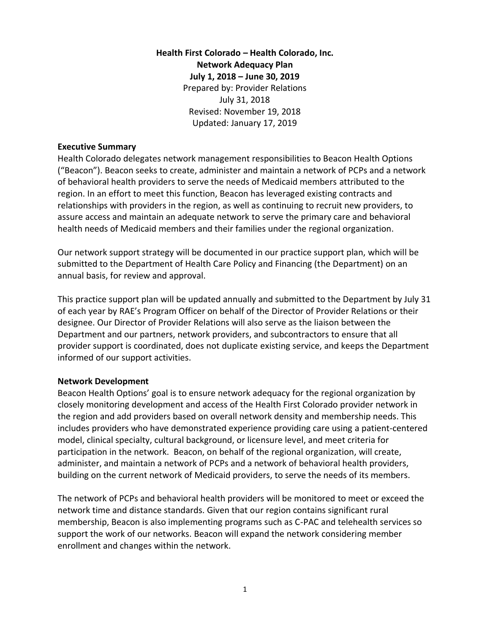# **Health First Colorado – Health Colorado, Inc. Network Adequacy Plan July 1, 2018 – June 30, 2019** Prepared by: Provider Relations July 31, 2018 Revised: November 19, 2018 Updated: January 17, 2019

#### **Executive Summary**

Health Colorado delegates network management responsibilities to Beacon Health Options ("Beacon"). Beacon seeks to create, administer and maintain a network of PCPs and a network of behavioral health providers to serve the needs of Medicaid members attributed to the region. In an effort to meet this function, Beacon has leveraged existing contracts and relationships with providers in the region, as well as continuing to recruit new providers, to assure access and maintain an adequate network to serve the primary care and behavioral health needs of Medicaid members and their families under the regional organization.

Our network support strategy will be documented in our practice support plan, which will be submitted to the Department of Health Care Policy and Financing (the Department) on an annual basis, for review and approval.

This practice support plan will be updated annually and submitted to the Department by July 31 of each year by RAE's Program Officer on behalf of the Director of Provider Relations or their designee. Our Director of Provider Relations will also serve as the liaison between the Department and our partners, network providers, and subcontractors to ensure that all provider support is coordinated, does not duplicate existing service, and keeps the Department informed of our support activities.

### **Network Development**

Beacon Health Options' goal is to ensure network adequacy for the regional organization by closely monitoring development and access of the Health First Colorado provider network in the region and add providers based on overall network density and membership needs. This includes providers who have demonstrated experience providing care using a patient-centered model, clinical specialty, cultural background, or licensure level, and meet criteria for participation in the network. Beacon, on behalf of the regional organization, will create, administer, and maintain a network of PCPs and a network of behavioral health providers, building on the current network of Medicaid providers, to serve the needs of its members.

The network of PCPs and behavioral health providers will be monitored to meet or exceed the network time and distance standards. Given that our region contains significant rural membership, Beacon is also implementing programs such as C-PAC and telehealth services so support the work of our networks. Beacon will expand the network considering member enrollment and changes within the network.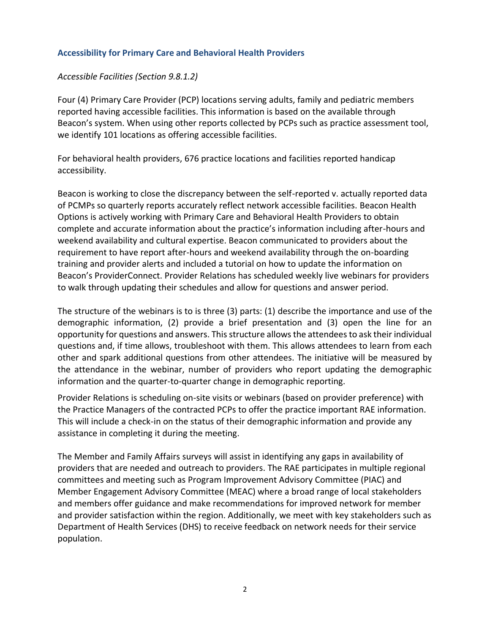## **Accessibility for Primary Care and Behavioral Health Providers**

### *Accessible Facilities (Section 9.8.1.2)*

Four (4) Primary Care Provider (PCP) locations serving adults, family and pediatric members reported having accessible facilities. This information is based on the available through Beacon's system. When using other reports collected by PCPs such as practice assessment tool, we identify 101 locations as offering accessible facilities.

For behavioral health providers, 676 practice locations and facilities reported handicap accessibility.

Beacon is working to close the discrepancy between the self-reported v. actually reported data of PCMPs so quarterly reports accurately reflect network accessible facilities. Beacon Health Options is actively working with Primary Care and Behavioral Health Providers to obtain complete and accurate information about the practice's information including after-hours and weekend availability and cultural expertise. Beacon communicated to providers about the requirement to have report after-hours and weekend availability through the on-boarding training and provider alerts and included a tutorial on how to update the information on Beacon's ProviderConnect. Provider Relations has scheduled weekly live webinars for providers to walk through updating their schedules and allow for questions and answer period.

The structure of the webinars is to is three (3) parts: (1) describe the importance and use of the demographic information, (2) provide a brief presentation and (3) open the line for an opportunity for questions and answers. This structure allows the attendees to ask their individual questions and, if time allows, troubleshoot with them. This allows attendees to learn from each other and spark additional questions from other attendees. The initiative will be measured by the attendance in the webinar, number of providers who report updating the demographic information and the quarter-to-quarter change in demographic reporting.

Provider Relations is scheduling on-site visits or webinars (based on provider preference) with the Practice Managers of the contracted PCPs to offer the practice important RAE information. This will include a check-in on the status of their demographic information and provide any assistance in completing it during the meeting.

The Member and Family Affairs surveys will assist in identifying any gaps in availability of providers that are needed and outreach to providers. The RAE participates in multiple regional committees and meeting such as Program Improvement Advisory Committee (PIAC) and Member Engagement Advisory Committee (MEAC) where a broad range of local stakeholders and members offer guidance and make recommendations for improved network for member and provider satisfaction within the region. Additionally, we meet with key stakeholders such as Department of Health Services (DHS) to receive feedback on network needs for their service population.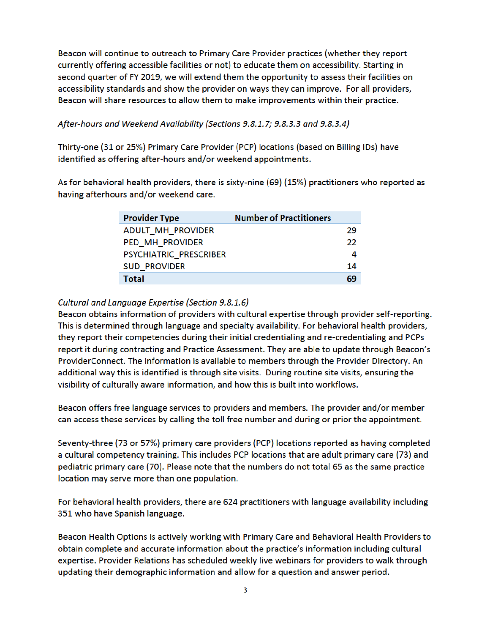Beacon will continue to outreach to Primary Care Provider practices (whether they report currently offering accessible facilities or not) to educate them on accessibility. Starting in second quarter of FY 2019, we will extend them the opportunity to assess their facilities on accessibility standards and show the provider on ways they can improve. For all providers, Beacon will share resources to allow them to make improvements within their practice.

## After-hours and Weekend Availability (Sections 9.8.1.7; 9.8.3.3 and 9.8.3.4)

Thirty-one (31 or 25%) Primary Care Provider (PCP) locations (based on Billing IDs) have identified as offering after-hours and/or weekend appointments.

As for behavioral health providers, there is sixty-nine (69) (15%) practitioners who reported as having afterhours and/or weekend care.

| <b>Provider Type</b>     | <b>Number of Practitioners</b> |    |
|--------------------------|--------------------------------|----|
| <b>ADULT MH PROVIDER</b> |                                | 29 |
| PED MH PROVIDER          |                                | 22 |
| PSYCHIATRIC PRESCRIBER   |                                |    |
| <b>SUD PROVIDER</b>      |                                | 14 |
| Total                    |                                | 69 |

### Cultural and Language Expertise (Section 9.8.1.6)

Beacon obtains information of providers with cultural expertise through provider self-reporting. This is determined through language and specialty availability. For behavioral health providers, they report their competencies during their initial credentialing and re-credentialing and PCPs report it during contracting and Practice Assessment. They are able to update through Beacon's ProviderConnect. The information is available to members through the Provider Directory. An additional way this is identified is through site visits. During routine site visits, ensuring the visibility of culturally aware information, and how this is built into workflows.

Beacon offers free language services to providers and members. The provider and/or member can access these services by calling the toll free number and during or prior the appointment.

Seventy-three (73 or 57%) primary care providers (PCP) locations reported as having completed a cultural competency training. This includes PCP locations that are adult primary care (73) and pediatric primary care (70). Please note that the numbers do not total 65 as the same practice location may serve more than one population.

For behavioral health providers, there are 624 practitioners with language availability including 351 who have Spanish language.

Beacon Health Options is actively working with Primary Care and Behavioral Health Providers to obtain complete and accurate information about the practice's information including cultural expertise. Provider Relations has scheduled weekly live webinars for providers to walk through updating their demographic information and allow for a question and answer period.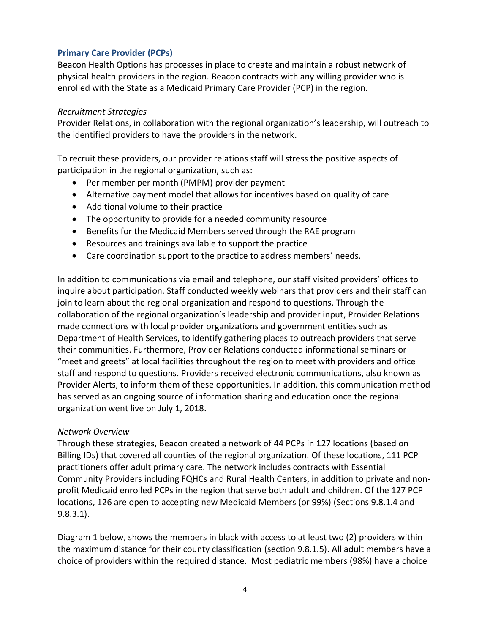# **Primary Care Provider (PCPs)**

Beacon Health Options has processes in place to create and maintain a robust network of physical health providers in the region. Beacon contracts with any willing provider who is enrolled with the State as a Medicaid Primary Care Provider (PCP) in the region.

#### *Recruitment Strategies*

Provider Relations, in collaboration with the regional organization's leadership, will outreach to the identified providers to have the providers in the network.

To recruit these providers, our provider relations staff will stress the positive aspects of participation in the regional organization, such as:

- Per member per month (PMPM) provider payment
- Alternative payment model that allows for incentives based on quality of care
- Additional volume to their practice
- The opportunity to provide for a needed community resource
- Benefits for the Medicaid Members served through the RAE program
- Resources and trainings available to support the practice
- Care coordination support to the practice to address members' needs.

In addition to communications via email and telephone, our staff visited providers' offices to inquire about participation. Staff conducted weekly webinars that providers and their staff can join to learn about the regional organization and respond to questions. Through the collaboration of the regional organization's leadership and provider input, Provider Relations made connections with local provider organizations and government entities such as Department of Health Services, to identify gathering places to outreach providers that serve their communities. Furthermore, Provider Relations conducted informational seminars or "meet and greets" at local facilities throughout the region to meet with providers and office staff and respond to questions. Providers received electronic communications, also known as Provider Alerts, to inform them of these opportunities. In addition, this communication method has served as an ongoing source of information sharing and education once the regional organization went live on July 1, 2018.

### *Network Overview*

Through these strategies, Beacon created a network of 44 PCPs in 127 locations (based on Billing IDs) that covered all counties of the regional organization. Of these locations, 111 PCP practitioners offer adult primary care. The network includes contracts with Essential Community Providers including FQHCs and Rural Health Centers, in addition to private and nonprofit Medicaid enrolled PCPs in the region that serve both adult and children. Of the 127 PCP locations, 126 are open to accepting new Medicaid Members (or 99%) (Sections 9.8.1.4 and 9.8.3.1).

Diagram 1 below, shows the members in black with access to at least two (2) providers within the maximum distance for their county classification (section 9.8.1.5). All adult members have a choice of providers within the required distance. Most pediatric members (98%) have a choice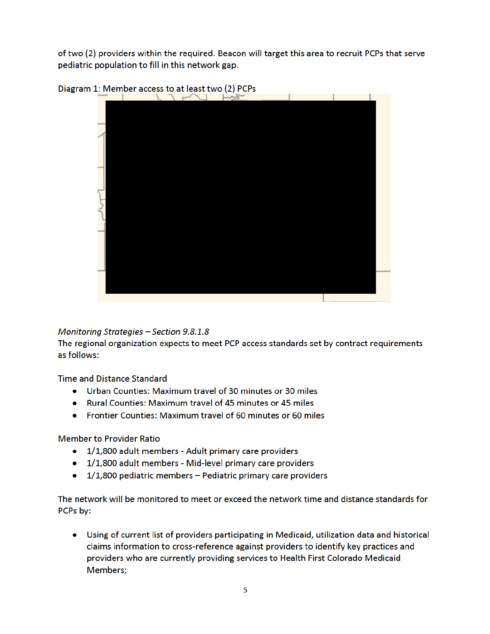of two (2) providers within the required. Beacon will target this area to recruit PCPs that serve pediatric population to fill in this network gap.



Diagram 1: Member access to at least two (2) PCPs

Monitoring Strategies - Section 9.8.1.8

The regional organization expects to meet PCP access standards set by contract requirements as follows:

**Time and Distance Standard** 

- Urban Counties: Maximum travel of 30 minutes or 30 miles
- Rural Counties: Maximum travel of 45 minutes or 45 miles
- Frontier Counties: Maximum travel of 60 minutes or 60 miles

**Member to Provider Ratio** 

- 1/1,800 adult members Adult primary care providers
- 1/1,800 adult members Mid-level primary care providers
- $\bullet$  1/1,800 pediatric members Pediatric primary care providers

The network will be monitored to meet or exceed the network time and distance standards for PCPs by:

• Using of current list of providers participating in Medicaid, utilization data and historical claims information to cross-reference against providers to identify key practices and providers who are currently providing services to Health First Colorado Medicaid Members;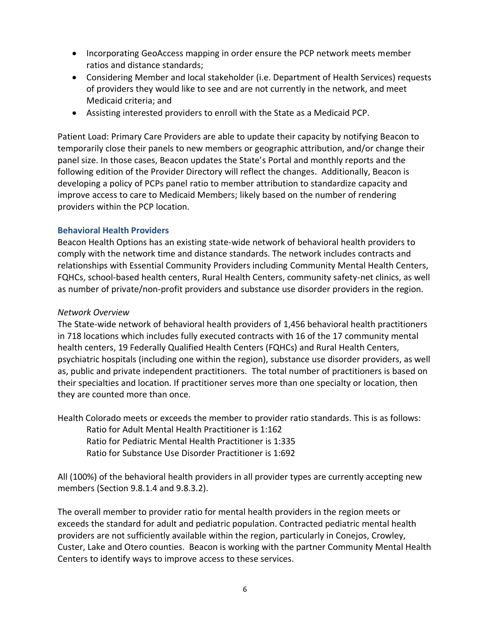- Incorporating GeoAccess mapping in order ensure the PCP network meets member ratios and distance standards;
- Considering Member and local stakeholder (i.e. Department of Health Services) requests of providers they would like to see and are not currently in the network, and meet Medicaid criteria; and
- Assisting interested providers to enroll with the State as a Medicaid PCP.

Patient Load: Primary Care Providers are able to update their capacity by notifying Beacon to temporarily close their panels to new members or geographic attribution, and/or change their panel size. In those cases, Beacon updates the State's Portal and monthly reports and the following edition of the Provider Directory will reflect the changes. Additionally, Beacon is developing a policy of PCPs panel ratio to member attribution to standardize capacity and improve access to care to Medicaid Members; likely based on the number of rendering providers within the PCP location.

## **Behavioral Health Providers**

Beacon Health Options has an existing state-wide network of behavioral health providers to comply with the network time and distance standards. The network includes contracts and relationships with Essential Community Providers including Community Mental Health Centers, FQHCs, school-based health centers, Rural Health Centers, community safety-net clinics, as well as number of private/non-profit providers and substance use disorder providers in the region.

## *Network Overview*

The State-wide network of behavioral health providers of 1,456 behavioral health practitioners in 718 locations which includes fully executed contracts with 16 of the 17 community mental health centers, 19 Federally Qualified Health Centers (FQHCs) and Rural Health Centers, psychiatric hospitals (including one within the region), substance use disorder providers, as well as, public and private independent practitioners. The total number of practitioners is based on their specialties and location. If practitioner serves more than one specialty or location, then they are counted more than once.

Health Colorado meets or exceeds the member to provider ratio standards. This is as follows: Ratio for Adult Mental Health Practitioner is 1:162 Ratio for Pediatric Mental Health Practitioner is 1:335

Ratio for Substance Use Disorder Practitioner is 1:692

All (100%) of the behavioral health providers in all provider types are currently accepting new members (Section 9.8.1.4 and 9.8.3.2).

The overall member to provider ratio for mental health providers in the region meets or exceeds the standard for adult and pediatric population. Contracted pediatric mental health providers are not sufficiently available within the region, particularly in Conejos, Crowley, Custer, Lake and Otero counties. Beacon is working with the partner Community Mental Health Centers to identify ways to improve access to these services.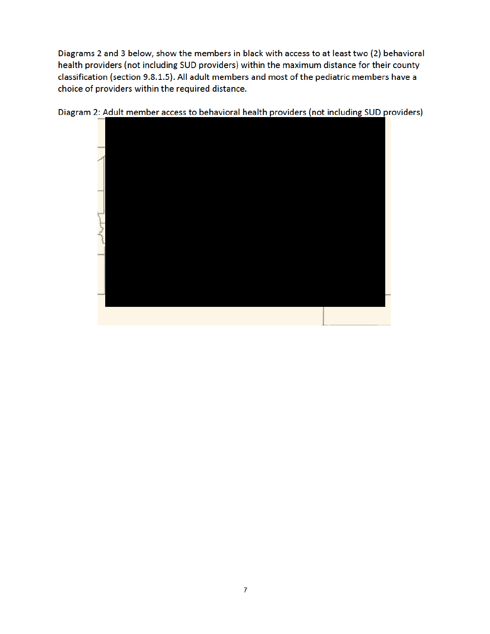Diagrams 2 and 3 below, show the members in black with access to at least two (2) behavioral health providers (not including SUD providers) within the maximum distance for their county classification (section 9.8.1.5). All adult members and most of the pediatric members have a choice of providers within the required distance.



Diagram 2: Adult member access to behavioral health providers (not including SUD providers)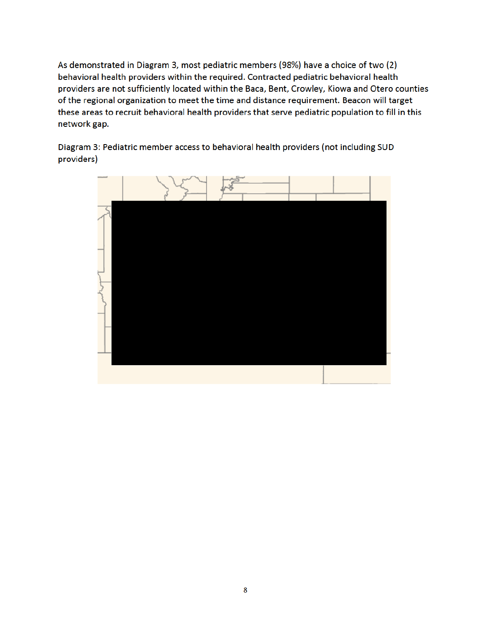As demonstrated in Diagram 3, most pediatric members (98%) have a choice of two (2) behavioral health providers within the required. Contracted pediatric behavioral health providers are not sufficiently located within the Baca, Bent, Crowley, Kiowa and Otero counties of the regional organization to meet the time and distance requirement. Beacon will target these areas to recruit behavioral health providers that serve pediatric population to fill in this network gap.

Diagram 3: Pediatric member access to behavioral health providers (not including SUD providers)

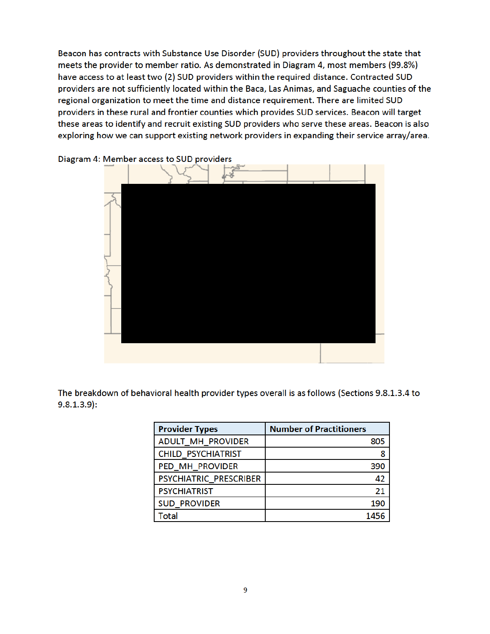Beacon has contracts with Substance Use Disorder (SUD) providers throughout the state that meets the provider to member ratio. As demonstrated in Diagram 4, most members (99.8%) have access to at least two (2) SUD providers within the required distance. Contracted SUD providers are not sufficiently located within the Baca, Las Animas, and Saguache counties of the regional organization to meet the time and distance requirement. There are limited SUD providers in these rural and frontier counties which provides SUD services. Beacon will target these areas to identify and recruit existing SUD providers who serve these areas. Beacon is also exploring how we can support existing network providers in expanding their service array/area.



Diagram 4: Member access to SUD providers

The breakdown of behavioral health provider types overall is as follows (Sections 9.8.1.3.4 to  $9.8.1.3.9$ :

| <b>Provider Types</b>     | <b>Number of Practitioners</b> |
|---------------------------|--------------------------------|
| ADULT_MH_PROVIDER         | 805                            |
| <b>CHILD PSYCHIATRIST</b> | 8                              |
| PED MH PROVIDER           | 390                            |
| PSYCHIATRIC PRESCRIBER    | 42                             |
| <b>PSYCHIATRIST</b>       | 21                             |
| <b>SUD PROVIDER</b>       | 190                            |
| Total                     | 1456                           |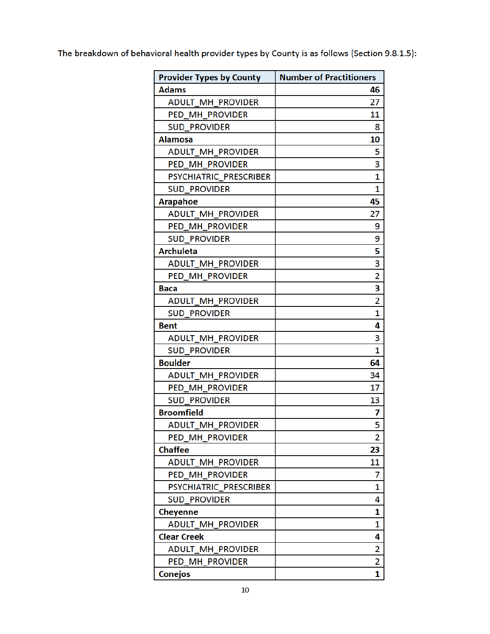The breakdown of behavioral health provider types by County is as follows (Section 9.8.1.5):

| <b>Provider Types by County</b> | <b>Number of Practitioners</b> |
|---------------------------------|--------------------------------|
| Adams                           | 46                             |
| <b>ADULT MH PROVIDER</b>        | 27                             |
| PED MH PROVIDER                 | 11                             |
| <b>SUD PROVIDER</b>             | 8                              |
| <b>Alamosa</b>                  | 10                             |
| <b>ADULT MH PROVIDER</b>        | 5                              |
| PED_MH_PROVIDER                 | 3                              |
| PSYCHIATRIC PRESCRIBER          | 1                              |
| <b>SUD PROVIDER</b>             | 1                              |
| <b>Arapahoe</b>                 | 45                             |
| <b>ADULT MH PROVIDER</b>        | 27                             |
| PED MH PROVIDER                 | 9                              |
| <b>SUD_PROVIDER</b>             | 9                              |
| <b>Archuleta</b>                | 5                              |
| <b>ADULT MH PROVIDER</b>        | 3                              |
| PED_MH_PROVIDER                 | 2                              |
| Baca                            | 3                              |
| <b>ADULT MH PROVIDER</b>        | 2                              |
| <b>SUD PROVIDER</b>             | 1                              |
| <b>Bent</b>                     | 4                              |
| <b>ADULT MH PROVIDER</b>        | 3                              |
| <b>SUD PROVIDER</b>             | 1                              |
| <b>Boulder</b>                  | 64                             |
| <b>ADULT MH PROVIDER</b>        | 34                             |
| PED MH PROVIDER                 | 17                             |
| <b>SUD PROVIDER</b>             | 13                             |
| <b>Broomfield</b>               | 7                              |
| ADULT_MH_PROVIDER               | 5                              |
| PED_MH_PROVIDER                 | 2                              |
| <b>Chaffee</b>                  | 23                             |
| <b>ADULT_MH_PROVIDER</b>        | 11                             |
| PED_MH_PROVIDER                 | 7                              |
| PSYCHIATRIC PRESCRIBER          | 1                              |
| <b>SUD PROVIDER</b>             | 4                              |
| Cheyenne                        | 1                              |
| <b>ADULT MH PROVIDER</b>        | 1                              |
| <b>Clear Creek</b>              | 4                              |
| ADULT_MH_PROVIDER               | 2                              |
| PED MH PROVIDER                 | 2                              |
| <b>Conejos</b>                  | 1                              |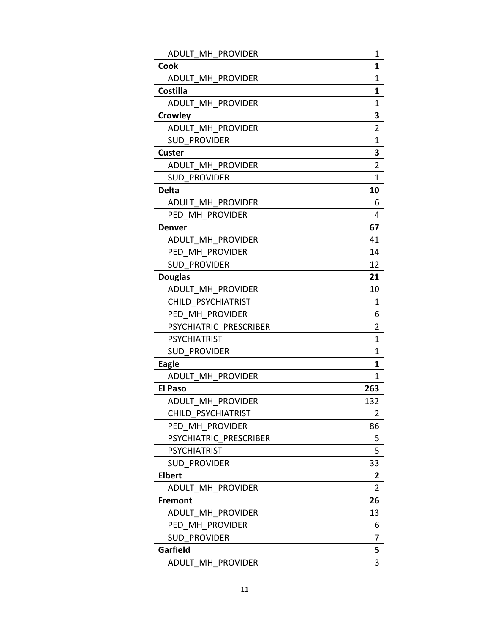| ADULT MH PROVIDER        | 1                       |
|--------------------------|-------------------------|
| <b>Cook</b>              | 1                       |
| <b>ADULT MH PROVIDER</b> | 1                       |
| <b>Costilla</b>          | 1                       |
| <b>ADULT MH PROVIDER</b> | 1                       |
| <b>Crowley</b>           | 3                       |
| ADULT MH PROVIDER        | $\overline{\mathbf{c}}$ |
| <b>SUD PROVIDER</b>      | 1                       |
| <b>Custer</b>            | 3                       |
| ADULT MH PROVIDER        | $\overline{2}$          |
| <b>SUD PROVIDER</b>      | 1                       |
| <b>Delta</b>             | 10                      |
| ADULT MH PROVIDER        | 6                       |
| PED MH PROVIDER          | 4                       |
| <b>Denver</b>            | 67                      |
| <b>ADULT MH PROVIDER</b> | 41                      |
| PED MH PROVIDER          | 14                      |
| <b>SUD PROVIDER</b>      | 12                      |
| <b>Douglas</b>           | 21                      |
| ADULT MH PROVIDER        | 10                      |
| CHILD PSYCHIATRIST       | 1                       |
| PED MH PROVIDER          | 6                       |
| PSYCHIATRIC PRESCRIBER   | $\overline{2}$          |
| <b>PSYCHIATRIST</b>      | 1                       |
| <b>SUD PROVIDER</b>      | 1                       |
| <b>Eagle</b>             | 1                       |
| <b>ADULT MH PROVIDER</b> | 1                       |
| <b>El Paso</b>           | 263                     |
| <b>ADULT MH PROVIDER</b> | 132                     |
| CHILD PSYCHIATRIST       | $\overline{2}$          |
| PED MH PROVIDER          | 86                      |
| PSYCHIATRIC PRESCRIBER   | 5                       |
| <b>PSYCHIATRIST</b>      | 5                       |
| <b>SUD PROVIDER</b>      | 33                      |
| <b>Elbert</b>            | 2                       |
| ADULT MH PROVIDER        | $\overline{2}$          |
| <b>Fremont</b>           | 26                      |
| ADULT MH PROVIDER        | 13                      |
| PED MH PROVIDER          | 6                       |
| <b>SUD PROVIDER</b>      | 7                       |
| Garfield                 | 5                       |
| ADULT MH PROVIDER        | 3                       |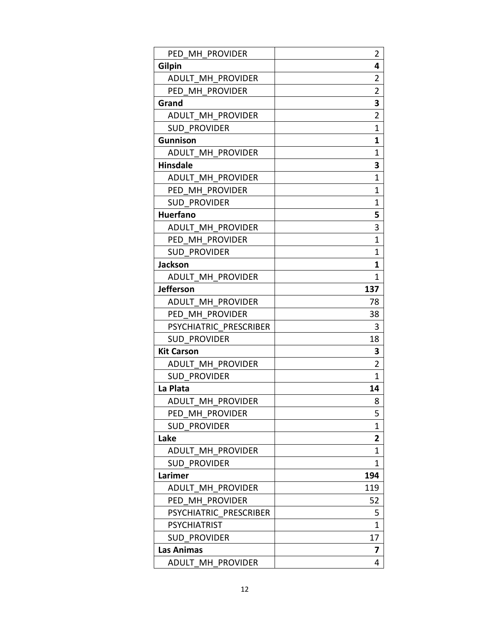| PED MH PROVIDER          | $\overline{2}$ |
|--------------------------|----------------|
| Gilpin                   | 4              |
| ADULT MH PROVIDER        | 2              |
| PED MH PROVIDER          | $\overline{2}$ |
| Grand                    | 3              |
| ADULT MH PROVIDER        | $\overline{2}$ |
| <b>SUD PROVIDER</b>      | $\mathbf 1$    |
| <b>Gunnison</b>          | 1              |
| <b>ADULT MH PROVIDER</b> | 1              |
| <b>Hinsdale</b>          | 3              |
| ADULT MH PROVIDER        | $\mathbf 1$    |
| PED MH PROVIDER          | $\mathbf 1$    |
| <b>SUD PROVIDER</b>      | $\mathbf{1}$   |
| <b>Huerfano</b>          | 5              |
| ADULT MH PROVIDER        | 3              |
| PED MH PROVIDER          | $\overline{1}$ |
| <b>SUD PROVIDER</b>      | 1              |
| <b>Jackson</b>           | 1              |
| ADULT MH PROVIDER        | 1              |
| <b>Jefferson</b>         | 137            |
| ADULT MH PROVIDER        | 78             |
| PED MH PROVIDER          | 38             |
| PSYCHIATRIC PRESCRIBER   | 3              |
| <b>SUD PROVIDER</b>      | 18             |
| <b>Kit Carson</b>        | 3              |
| <b>ADULT MH PROVIDER</b> | $\overline{2}$ |
| <b>SUD PROVIDER</b>      | 1              |
| La Plata                 | 14             |
| <b>ADULT MH PROVIDER</b> | 8              |
| PED MH PROVIDER          | 5              |
| <b>SUD PROVIDER</b>      | 1              |
| Lake                     | 2              |
| ADULT MH PROVIDER        | 1              |
| <b>SUD PROVIDER</b>      | 1              |
| Larimer                  | 194            |
| ADULT MH PROVIDER        | 119            |
| PED MH PROVIDER          | 52             |
| PSYCHIATRIC PRESCRIBER   | 5              |
| <b>PSYCHIATRIST</b>      | 1              |
| <b>SUD PROVIDER</b>      | 17             |
| Las Animas               | 7              |
| ADULT MH PROVIDER        | 4              |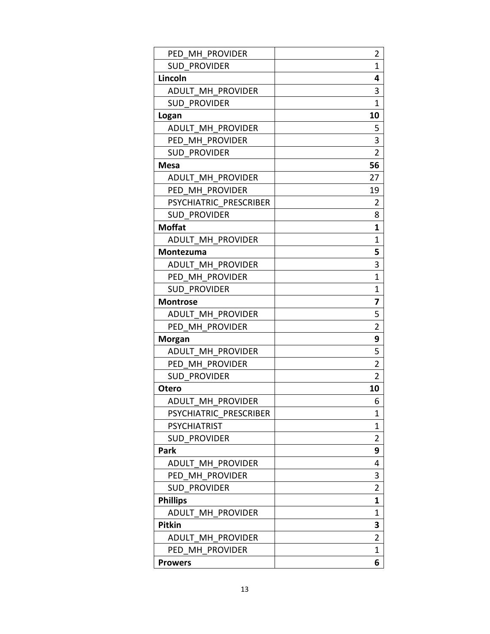| PED MH PROVIDER          | $\overline{2}$ |
|--------------------------|----------------|
| <b>SUD PROVIDER</b>      | 1              |
| Lincoln                  | 4              |
| ADULT MH PROVIDER        | 3              |
| <b>SUD PROVIDER</b>      | 1              |
| Logan                    | 10             |
| ADULT MH PROVIDER        | 5              |
| PED MH PROVIDER          | 3              |
| <b>SUD PROVIDER</b>      | $\overline{2}$ |
| <b>Mesa</b>              | 56             |
| ADULT MH PROVIDER        | 27             |
| PED MH PROVIDER          | 19             |
| PSYCHIATRIC PRESCRIBER   | $\overline{2}$ |
| <b>SUD PROVIDER</b>      | 8              |
| <b>Moffat</b>            | 1              |
| ADULT MH PROVIDER        | 1              |
| Montezuma                | 5              |
| ADULT MH PROVIDER        | 3              |
| PED MH PROVIDER          | 1              |
| <b>SUD PROVIDER</b>      | $\mathbf{1}$   |
| <b>Montrose</b>          | 7              |
| ADULT MH PROVIDER        | 5              |
| PED MH PROVIDER          | $\overline{2}$ |
| <b>Morgan</b>            | 9              |
| ADULT MH PROVIDER        | 5              |
| PED MH PROVIDER          | $\overline{2}$ |
| <b>SUD PROVIDER</b>      | $\overline{2}$ |
| <b>Otero</b>             | 10             |
| <b>ADULT MH PROVIDER</b> | 6              |
| PSYCHIATRIC PRESCRIBER   | 1              |
| <b>PSYCHIATRIST</b>      | 1              |
| <b>SUD PROVIDER</b>      | $\overline{2}$ |
| <b>Park</b>              | 9              |
| <b>ADULT MH PROVIDER</b> | 4              |
| PED MH PROVIDER          | 3              |
| <b>SUD PROVIDER</b>      | $\overline{2}$ |
| <b>Phillips</b>          | 1              |
| ADULT MH PROVIDER        | 1              |
| <b>Pitkin</b>            | 3              |
| ADULT MH PROVIDER        | $\overline{2}$ |
| PED MH PROVIDER          | 1              |
| <b>Prowers</b>           | 6              |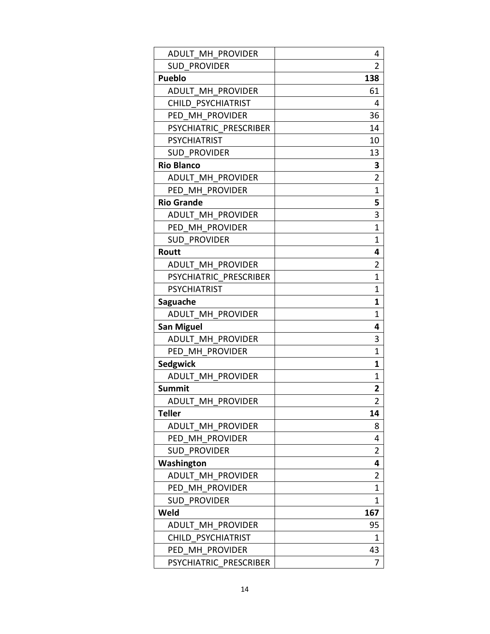| ADULT MH PROVIDER        | 4              |
|--------------------------|----------------|
| <b>SUD PROVIDER</b>      | 2              |
| <b>Pueblo</b>            | 138            |
| ADULT MH PROVIDER        | 61             |
| CHILD PSYCHIATRIST       | 4              |
| PED MH PROVIDER          | 36             |
| PSYCHIATRIC PRESCRIBER   | 14             |
| <b>PSYCHIATRIST</b>      | 10             |
| <b>SUD PROVIDER</b>      | 13             |
| <b>Rio Blanco</b>        | 3              |
| ADULT MH PROVIDER        | $\overline{2}$ |
| PED MH PROVIDER          | $\mathbf 1$    |
| <b>Rio Grande</b>        | 5              |
| <b>ADULT MH PROVIDER</b> | 3              |
| PED MH PROVIDER          | $\mathbf{1}$   |
| <b>SUD PROVIDER</b>      | $\mathbf{1}$   |
| Routt                    | 4              |
| <b>ADULT MH PROVIDER</b> | 2              |
| PSYCHIATRIC PRESCRIBER   | $\mathbf 1$    |
| <b>PSYCHIATRIST</b>      | $\mathbf{1}$   |
| Saguache                 | 1              |
| ADULT MH PROVIDER        | $\mathbf{1}$   |
| <b>San Miguel</b>        | 4              |
| ADULT MH PROVIDER        | 3              |
| PED MH PROVIDER          | $\mathbf{1}$   |
| <b>Sedgwick</b>          | 1              |
| ADULT MH PROVIDER        | $\mathbf{1}$   |
| <b>Summit</b>            | 2              |
| ADULT MH PROVIDER        | $\overline{2}$ |
| <b>Teller</b>            | 14             |
| ADULT MH PROVIDER        | 8              |
| PED MH PROVIDER          | 4              |
| <b>SUD PROVIDER</b>      | 2              |
| Washington               | 4              |
| ADULT MH PROVIDER        | 2              |
| PED MH PROVIDER          | 1              |
| <b>SUD PROVIDER</b>      | $\mathbf{1}$   |
| Weld                     | 167            |
| ADULT MH PROVIDER        | 95             |
| CHILD PSYCHIATRIST       | 1              |
| PED MH PROVIDER          | 43             |
| PSYCHIATRIC PRESCRIBER   | 7              |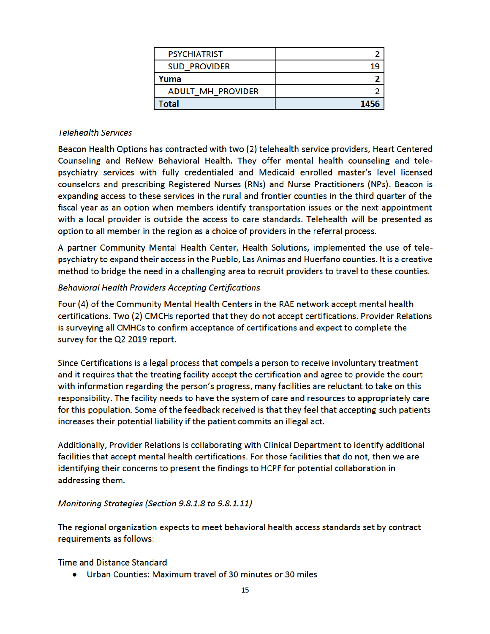| <b>PSYCHIATRIST</b>      |      |
|--------------------------|------|
| <b>SUD PROVIDER</b>      | 19   |
| Yuma                     |      |
| <b>ADULT MH PROVIDER</b> |      |
| Total                    | 1456 |

#### **Telehealth Services**

Beacon Health Options has contracted with two (2) telehealth service providers, Heart Centered Counseling and ReNew Behavioral Health. They offer mental health counseling and telepsychiatry services with fully credentialed and Medicaid enrolled master's level licensed counselors and prescribing Registered Nurses (RNs) and Nurse Practitioners (NPs). Beacon is expanding access to these services in the rural and frontier counties in the third quarter of the fiscal year as an option when members identify transportation issues or the next appointment with a local provider is outside the access to care standards. Telehealth will be presented as option to all member in the region as a choice of providers in the referral process.

A partner Community Mental Health Center, Health Solutions, implemented the use of telepsychiatry to expand their access in the Pueblo, Las Animas and Huerfano counties. It is a creative method to bridge the need in a challenging area to recruit providers to travel to these counties.

#### **Behavioral Health Providers Accepting Certifications**

Four (4) of the Community Mental Health Centers in the RAE network accept mental health certifications. Two (2) CMCHs reported that they do not accept certifications. Provider Relations is surveying all CMHCs to confirm acceptance of certifications and expect to complete the survey for the Q2 2019 report.

Since Certifications is a legal process that compels a person to receive involuntary treatment and it requires that the treating facility accept the certification and agree to provide the court with information regarding the person's progress, many facilities are reluctant to take on this responsibility. The facility needs to have the system of care and resources to appropriately care for this population. Some of the feedback received is that they feel that accepting such patients increases their potential liability if the patient commits an illegal act.

Additionally, Provider Relations is collaborating with Clinical Department to identify additional facilities that accept mental health certifications. For those facilities that do not, then we are identifying their concerns to present the findings to HCPF for potential collaboration in addressing them.

#### Monitoring Strategies (Section 9.8.1.8 to 9.8.1.11)

The regional organization expects to meet behavioral health access standards set by contract requirements as follows:

#### Time and Distance Standard

• Urban Counties: Maximum travel of 30 minutes or 30 miles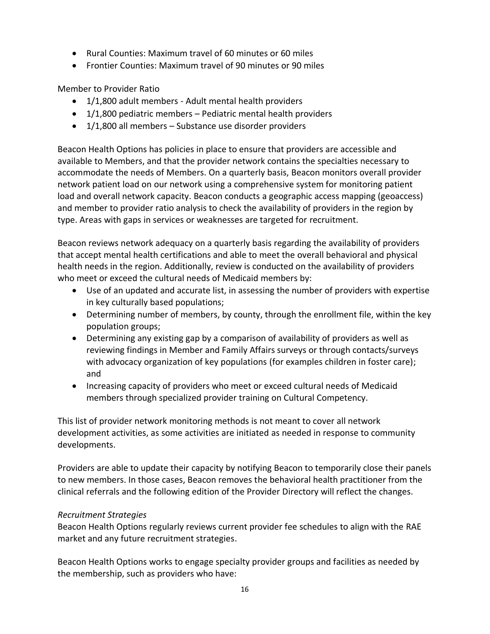- Rural Counties: Maximum travel of 60 minutes or 60 miles
- Frontier Counties: Maximum travel of 90 minutes or 90 miles

Member to Provider Ratio

- 1/1,800 adult members Adult mental health providers
- $\bullet$  1/1,800 pediatric members Pediatric mental health providers
- 1/1,800 all members Substance use disorder providers

Beacon Health Options has policies in place to ensure that providers are accessible and available to Members, and that the provider network contains the specialties necessary to accommodate the needs of Members. On a quarterly basis, Beacon monitors overall provider network patient load on our network using a comprehensive system for monitoring patient load and overall network capacity. Beacon conducts a geographic access mapping (geoaccess) and member to provider ratio analysis to check the availability of providers in the region by type. Areas with gaps in services or weaknesses are targeted for recruitment.

Beacon reviews network adequacy on a quarterly basis regarding the availability of providers that accept mental health certifications and able to meet the overall behavioral and physical health needs in the region. Additionally, review is conducted on the availability of providers who meet or exceed the cultural needs of Medicaid members by:

- Use of an updated and accurate list, in assessing the number of providers with expertise in key culturally based populations;
- Determining number of members, by county, through the enrollment file, within the key population groups;
- Determining any existing gap by a comparison of availability of providers as well as reviewing findings in Member and Family Affairs surveys or through contacts/surveys with advocacy organization of key populations (for examples children in foster care); and
- Increasing capacity of providers who meet or exceed cultural needs of Medicaid members through specialized provider training on Cultural Competency.

This list of provider network monitoring methods is not meant to cover all network development activities, as some activities are initiated as needed in response to community developments.

Providers are able to update their capacity by notifying Beacon to temporarily close their panels to new members. In those cases, Beacon removes the behavioral health practitioner from the clinical referrals and the following edition of the Provider Directory will reflect the changes.

# *Recruitment Strategies*

Beacon Health Options regularly reviews current provider fee schedules to align with the RAE market and any future recruitment strategies.

Beacon Health Options works to engage specialty provider groups and facilities as needed by the membership, such as providers who have: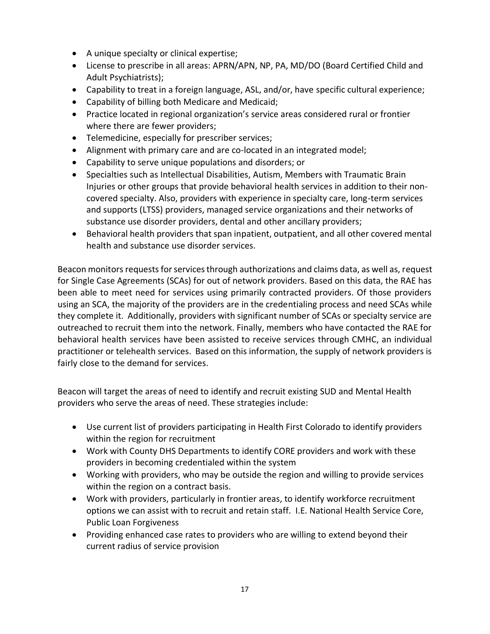- A unique specialty or clinical expertise;
- License to prescribe in all areas: APRN/APN, NP, PA, MD/DO (Board Certified Child and Adult Psychiatrists);
- Capability to treat in a foreign language, ASL, and/or, have specific cultural experience;
- Capability of billing both Medicare and Medicaid;
- Practice located in regional organization's service areas considered rural or frontier where there are fewer providers;
- Telemedicine, especially for prescriber services;
- Alignment with primary care and are co-located in an integrated model;
- Capability to serve unique populations and disorders; or
- Specialties such as Intellectual Disabilities, Autism, Members with Traumatic Brain Injuries or other groups that provide behavioral health services in addition to their noncovered specialty. Also, providers with experience in specialty care, long-term services and supports (LTSS) providers, managed service organizations and their networks of substance use disorder providers, dental and other ancillary providers;
- Behavioral health providers that span inpatient, outpatient, and all other covered mental health and substance use disorder services.

Beacon monitors requests for services through authorizations and claims data, as well as, request for Single Case Agreements (SCAs) for out of network providers. Based on this data, the RAE has been able to meet need for services using primarily contracted providers. Of those providers using an SCA, the majority of the providers are in the credentialing process and need SCAs while they complete it. Additionally, providers with significant number of SCAs or specialty service are outreached to recruit them into the network. Finally, members who have contacted the RAE for behavioral health services have been assisted to receive services through CMHC, an individual practitioner or telehealth services. Based on this information, the supply of network providers is fairly close to the demand for services.

Beacon will target the areas of need to identify and recruit existing SUD and Mental Health providers who serve the areas of need. These strategies include:

- Use current list of providers participating in Health First Colorado to identify providers within the region for recruitment
- Work with County DHS Departments to identify CORE providers and work with these providers in becoming credentialed within the system
- Working with providers, who may be outside the region and willing to provide services within the region on a contract basis.
- Work with providers, particularly in frontier areas, to identify workforce recruitment options we can assist with to recruit and retain staff. I.E. National Health Service Core, Public Loan Forgiveness
- Providing enhanced case rates to providers who are willing to extend beyond their current radius of service provision